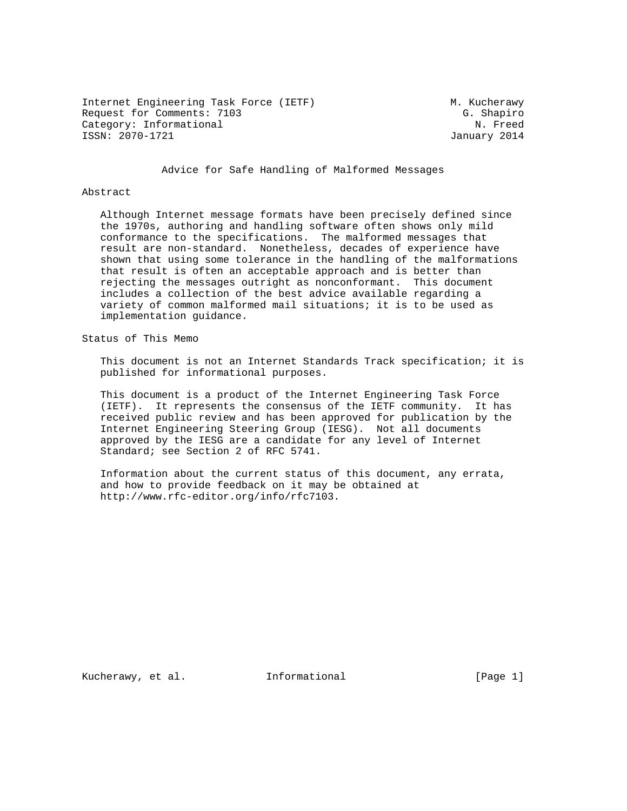Internet Engineering Task Force (IETF) M. Kucherawy Request for Comments: 7103<br>Category: Informational example of the category: Informational example of the category: Informational Category: Informational ISSN: 2070-1721 January 2014

Advice for Safe Handling of Malformed Messages

### Abstract

 Although Internet message formats have been precisely defined since the 1970s, authoring and handling software often shows only mild conformance to the specifications. The malformed messages that result are non-standard. Nonetheless, decades of experience have shown that using some tolerance in the handling of the malformations that result is often an acceptable approach and is better than rejecting the messages outright as nonconformant. This document includes a collection of the best advice available regarding a variety of common malformed mail situations; it is to be used as implementation guidance.

Status of This Memo

 This document is not an Internet Standards Track specification; it is published for informational purposes.

 This document is a product of the Internet Engineering Task Force (IETF). It represents the consensus of the IETF community. It has received public review and has been approved for publication by the Internet Engineering Steering Group (IESG). Not all documents approved by the IESG are a candidate for any level of Internet Standard; see Section 2 of RFC 5741.

 Information about the current status of this document, any errata, and how to provide feedback on it may be obtained at http://www.rfc-editor.org/info/rfc7103.

Kucherawy, et al. 1nformational 1999 [Page 1]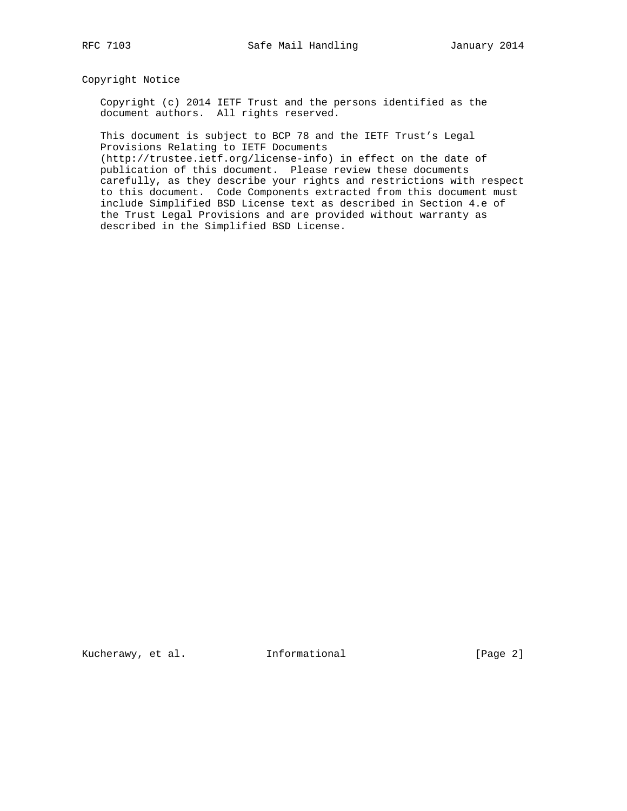Copyright Notice

 Copyright (c) 2014 IETF Trust and the persons identified as the document authors. All rights reserved.

 This document is subject to BCP 78 and the IETF Trust's Legal Provisions Relating to IETF Documents

 (http://trustee.ietf.org/license-info) in effect on the date of publication of this document. Please review these documents carefully, as they describe your rights and restrictions with respect to this document. Code Components extracted from this document must include Simplified BSD License text as described in Section 4.e of the Trust Legal Provisions and are provided without warranty as described in the Simplified BSD License.

Kucherawy, et al. Informational [Page 2]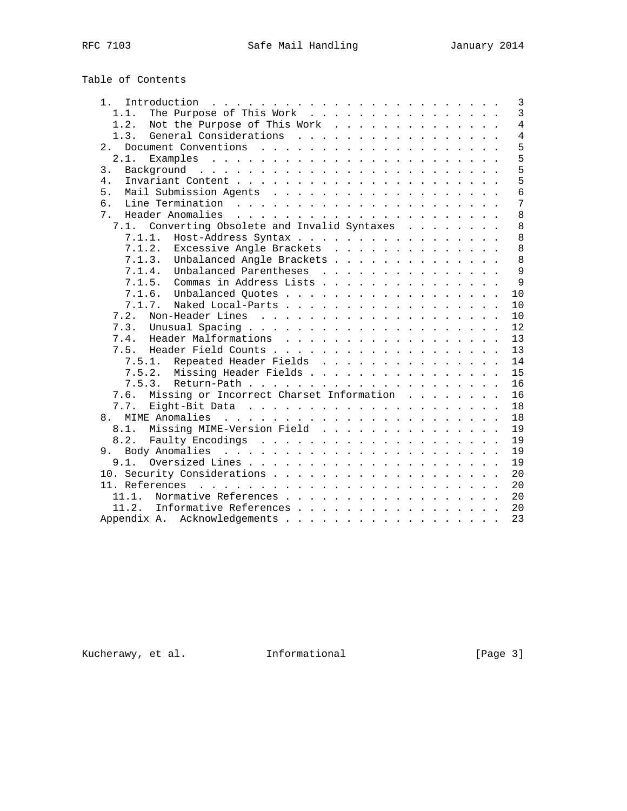# Table of Contents

| Introduction $\ldots \ldots \ldots \ldots \ldots \ldots \ldots \ldots$<br>1. . | $\mathbf{3}$   |
|--------------------------------------------------------------------------------|----------------|
| The Purpose of This Work<br>1.1.                                               | $\overline{3}$ |
| 1.2.<br>Not the Purpose of This Work                                           | $\overline{4}$ |
| General Considerations<br>1.3.                                                 | $\overline{4}$ |
| 2.1                                                                            | 5              |
| 2.1.                                                                           | 5              |
| 3.                                                                             | 5              |
| 4.                                                                             | 5              |
| 5.                                                                             | 6              |
| 6.                                                                             | 7              |
| 7 <sup>1</sup>                                                                 | 8              |
| Converting Obsolete and Invalid Syntaxes<br>7.1.                               | 8              |
| Host-Address Syntax<br>7.1.1.                                                  | 8              |
| 7.1.2.<br>Excessive Angle Brackets                                             | 8              |
| Unbalanced Angle Brackets<br>7.1.3.                                            | 8              |
| Unbalanced Parentheses<br>7.1.4.                                               | $\mathsf{Q}$   |
| Commas in Address Lists<br>7.1.5.                                              | 9              |
| 7.1.6. Unbalanced Quotes                                                       | 10             |
| Naked Local-Parts<br>7.1.7.                                                    | 10             |
| 7.2.                                                                           | 10             |
| 7.3.                                                                           | 12             |
| Header Malformations<br>7.4.                                                   | 13             |
|                                                                                | 13             |
| Repeated Header Fields<br>7.5.1.                                               | 14             |
| Missing Header Fields<br>7.5.2.                                                | 15             |
| 7.5.3.                                                                         | 16             |
| Missing or Incorrect Charset Information<br>7.6.                               | 16             |
| 7.7.                                                                           | 18             |
| 8 <sub>1</sub>                                                                 | 18             |
| Missing MIME-Version Field<br>8.1.                                             | 19             |
| 8.2.                                                                           | 19             |
| 9.                                                                             | 19             |
| 9.1.                                                                           | 19             |
|                                                                                | 20             |
|                                                                                | 20             |
| 11.1.                                                                          | 20             |
|                                                                                |                |
| 11.2.<br>Informative References                                                | 20             |
| Appendix A. Acknowledgements                                                   | 23             |

Kucherawy, et al. 1nformational [Page 3]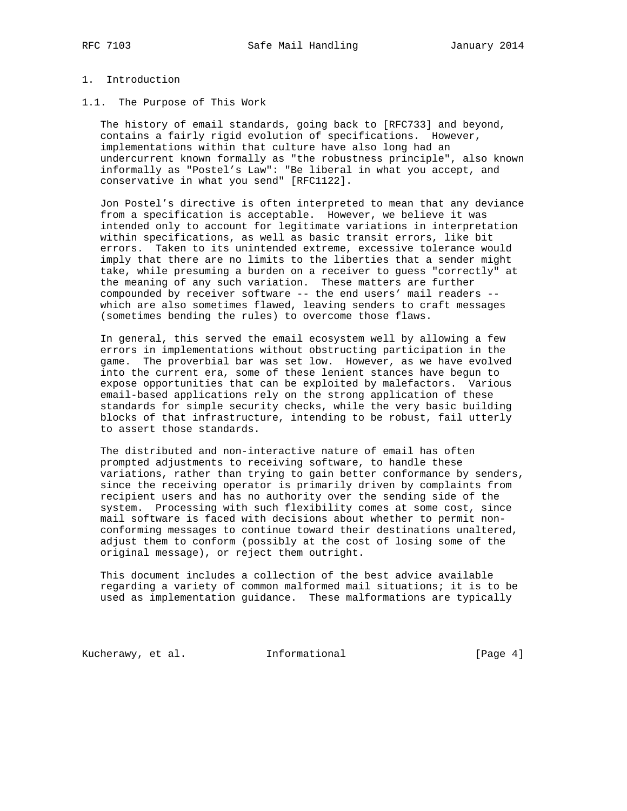# 1. Introduction

### 1.1. The Purpose of This Work

 The history of email standards, going back to [RFC733] and beyond, contains a fairly rigid evolution of specifications. However, implementations within that culture have also long had an undercurrent known formally as "the robustness principle", also known informally as "Postel's Law": "Be liberal in what you accept, and conservative in what you send" [RFC1122].

 Jon Postel's directive is often interpreted to mean that any deviance from a specification is acceptable. However, we believe it was intended only to account for legitimate variations in interpretation within specifications, as well as basic transit errors, like bit errors. Taken to its unintended extreme, excessive tolerance would imply that there are no limits to the liberties that a sender might take, while presuming a burden on a receiver to guess "correctly" at the meaning of any such variation. These matters are further compounded by receiver software -- the end users' mail readers - which are also sometimes flawed, leaving senders to craft messages (sometimes bending the rules) to overcome those flaws.

 In general, this served the email ecosystem well by allowing a few errors in implementations without obstructing participation in the game. The proverbial bar was set low. However, as we have evolved into the current era, some of these lenient stances have begun to expose opportunities that can be exploited by malefactors. Various email-based applications rely on the strong application of these standards for simple security checks, while the very basic building blocks of that infrastructure, intending to be robust, fail utterly to assert those standards.

 The distributed and non-interactive nature of email has often prompted adjustments to receiving software, to handle these variations, rather than trying to gain better conformance by senders, since the receiving operator is primarily driven by complaints from recipient users and has no authority over the sending side of the system. Processing with such flexibility comes at some cost, since mail software is faced with decisions about whether to permit non conforming messages to continue toward their destinations unaltered, adjust them to conform (possibly at the cost of losing some of the original message), or reject them outright.

 This document includes a collection of the best advice available regarding a variety of common malformed mail situations; it is to be used as implementation guidance. These malformations are typically

Kucherawy, et al. 1nformational 1999 [Page 4]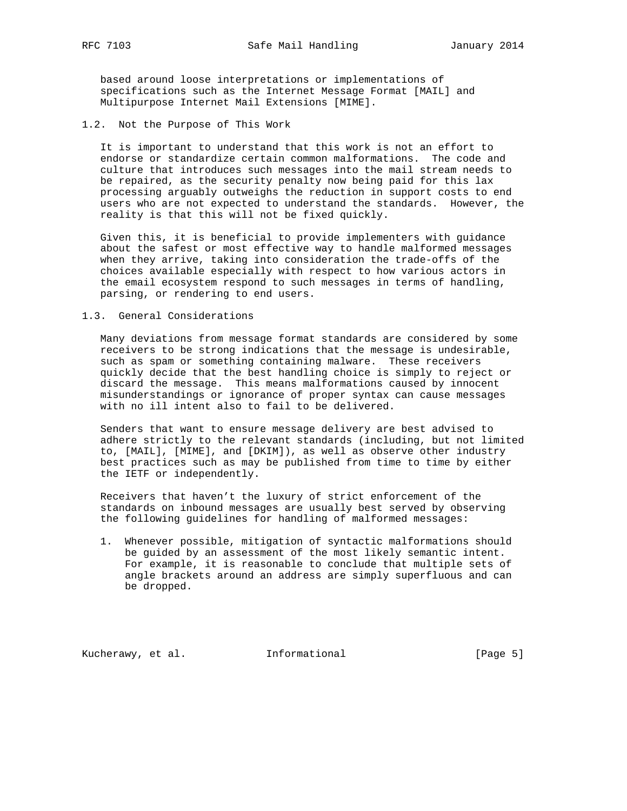based around loose interpretations or implementations of specifications such as the Internet Message Format [MAIL] and Multipurpose Internet Mail Extensions [MIME].

1.2. Not the Purpose of This Work

 It is important to understand that this work is not an effort to endorse or standardize certain common malformations. The code and culture that introduces such messages into the mail stream needs to be repaired, as the security penalty now being paid for this lax processing arguably outweighs the reduction in support costs to end users who are not expected to understand the standards. However, the reality is that this will not be fixed quickly.

 Given this, it is beneficial to provide implementers with guidance about the safest or most effective way to handle malformed messages when they arrive, taking into consideration the trade-offs of the choices available especially with respect to how various actors in the email ecosystem respond to such messages in terms of handling, parsing, or rendering to end users.

1.3. General Considerations

 Many deviations from message format standards are considered by some receivers to be strong indications that the message is undesirable, such as spam or something containing malware. These receivers quickly decide that the best handling choice is simply to reject or discard the message. This means malformations caused by innocent misunderstandings or ignorance of proper syntax can cause messages with no ill intent also to fail to be delivered.

 Senders that want to ensure message delivery are best advised to adhere strictly to the relevant standards (including, but not limited to, [MAIL], [MIME], and [DKIM]), as well as observe other industry best practices such as may be published from time to time by either the IETF or independently.

 Receivers that haven't the luxury of strict enforcement of the standards on inbound messages are usually best served by observing the following guidelines for handling of malformed messages:

 1. Whenever possible, mitigation of syntactic malformations should be guided by an assessment of the most likely semantic intent. For example, it is reasonable to conclude that multiple sets of angle brackets around an address are simply superfluous and can be dropped.

Kucherawy, et al. Informational [Page 5]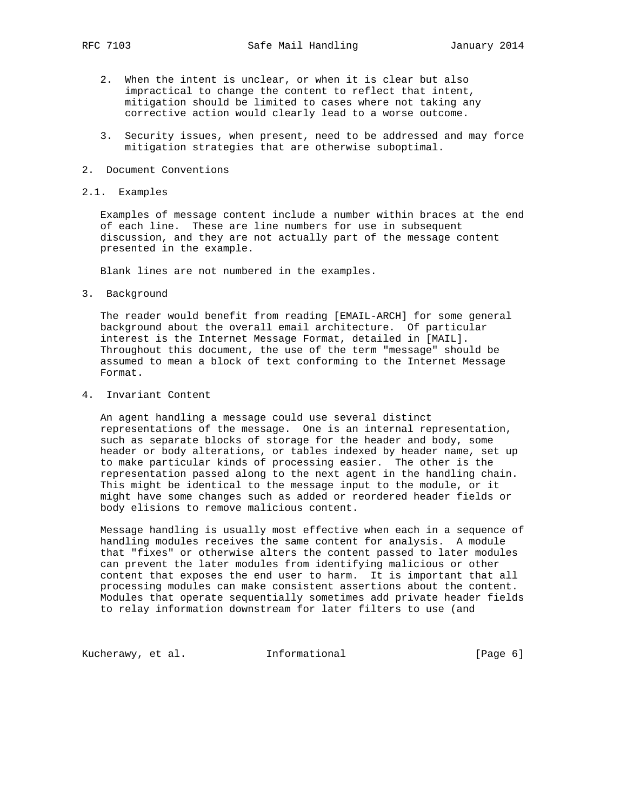- 2. When the intent is unclear, or when it is clear but also impractical to change the content to reflect that intent, mitigation should be limited to cases where not taking any corrective action would clearly lead to a worse outcome.
- 3. Security issues, when present, need to be addressed and may force mitigation strategies that are otherwise suboptimal.
- 2. Document Conventions

#### 2.1. Examples

 Examples of message content include a number within braces at the end of each line. These are line numbers for use in subsequent discussion, and they are not actually part of the message content presented in the example.

Blank lines are not numbered in the examples.

3. Background

 The reader would benefit from reading [EMAIL-ARCH] for some general background about the overall email architecture. Of particular interest is the Internet Message Format, detailed in [MAIL]. Throughout this document, the use of the term "message" should be assumed to mean a block of text conforming to the Internet Message Format.

4. Invariant Content

 An agent handling a message could use several distinct representations of the message. One is an internal representation, such as separate blocks of storage for the header and body, some header or body alterations, or tables indexed by header name, set up to make particular kinds of processing easier. The other is the representation passed along to the next agent in the handling chain. This might be identical to the message input to the module, or it might have some changes such as added or reordered header fields or body elisions to remove malicious content.

 Message handling is usually most effective when each in a sequence of handling modules receives the same content for analysis. A module that "fixes" or otherwise alters the content passed to later modules can prevent the later modules from identifying malicious or other content that exposes the end user to harm. It is important that all processing modules can make consistent assertions about the content. Modules that operate sequentially sometimes add private header fields to relay information downstream for later filters to use (and

Kucherawy, et al. 1nformational [Page 6]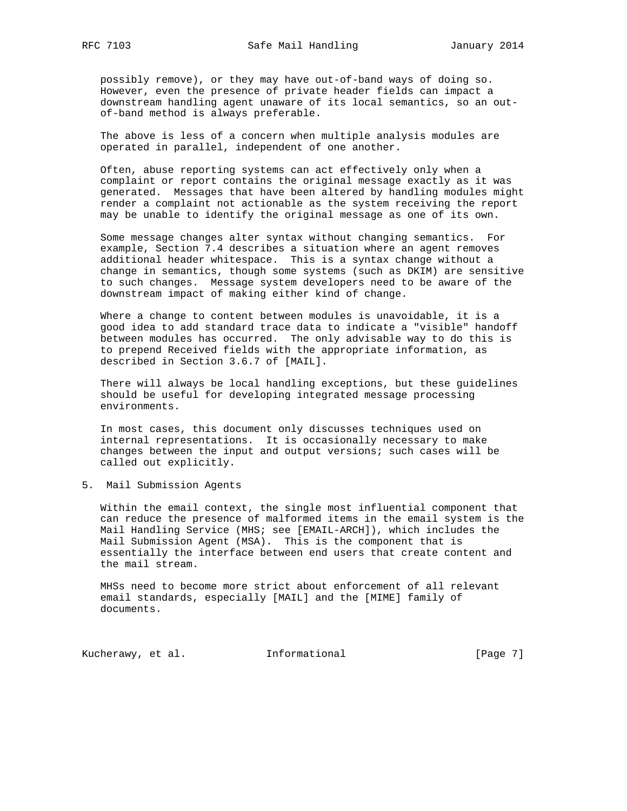possibly remove), or they may have out-of-band ways of doing so. However, even the presence of private header fields can impact a downstream handling agent unaware of its local semantics, so an out of-band method is always preferable.

 The above is less of a concern when multiple analysis modules are operated in parallel, independent of one another.

 Often, abuse reporting systems can act effectively only when a complaint or report contains the original message exactly as it was generated. Messages that have been altered by handling modules might render a complaint not actionable as the system receiving the report may be unable to identify the original message as one of its own.

 Some message changes alter syntax without changing semantics. For example, Section 7.4 describes a situation where an agent removes additional header whitespace. This is a syntax change without a change in semantics, though some systems (such as DKIM) are sensitive to such changes. Message system developers need to be aware of the downstream impact of making either kind of change.

 Where a change to content between modules is unavoidable, it is a good idea to add standard trace data to indicate a "visible" handoff between modules has occurred. The only advisable way to do this is to prepend Received fields with the appropriate information, as described in Section 3.6.7 of [MAIL].

 There will always be local handling exceptions, but these guidelines should be useful for developing integrated message processing environments.

 In most cases, this document only discusses techniques used on internal representations. It is occasionally necessary to make changes between the input and output versions; such cases will be called out explicitly.

5. Mail Submission Agents

 Within the email context, the single most influential component that can reduce the presence of malformed items in the email system is the Mail Handling Service (MHS; see [EMAIL-ARCH]), which includes the Mail Submission Agent (MSA). This is the component that is essentially the interface between end users that create content and the mail stream.

 MHSs need to become more strict about enforcement of all relevant email standards, especially [MAIL] and the [MIME] family of documents.

Kucherawy, et al. 1nformational [Page 7]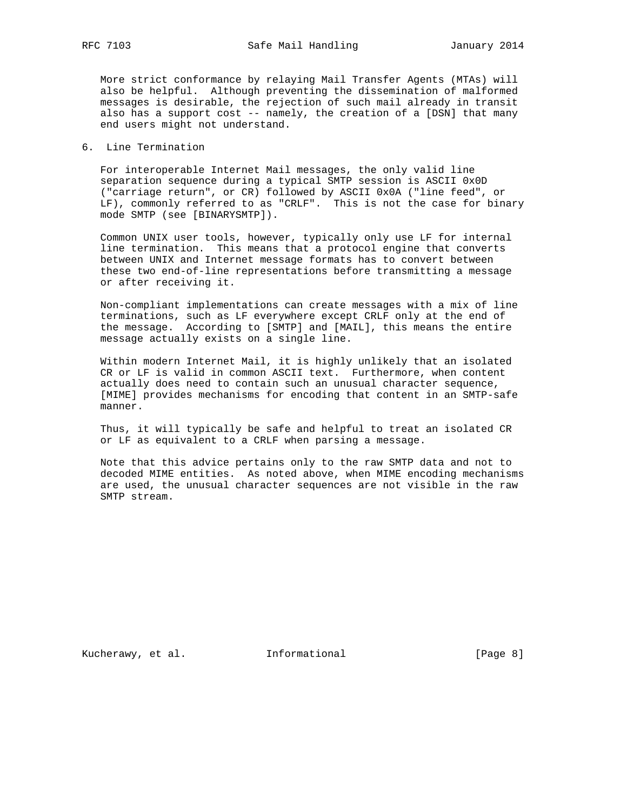More strict conformance by relaying Mail Transfer Agents (MTAs) will also be helpful. Although preventing the dissemination of malformed messages is desirable, the rejection of such mail already in transit also has a support cost -- namely, the creation of a [DSN] that many end users might not understand.

### 6. Line Termination

 For interoperable Internet Mail messages, the only valid line separation sequence during a typical SMTP session is ASCII 0x0D ("carriage return", or CR) followed by ASCII 0x0A ("line feed", or LF), commonly referred to as "CRLF". This is not the case for binary mode SMTP (see [BINARYSMTP]).

 Common UNIX user tools, however, typically only use LF for internal line termination. This means that a protocol engine that converts between UNIX and Internet message formats has to convert between these two end-of-line representations before transmitting a message or after receiving it.

 Non-compliant implementations can create messages with a mix of line terminations, such as LF everywhere except CRLF only at the end of the message. According to [SMTP] and [MAIL], this means the entire message actually exists on a single line.

 Within modern Internet Mail, it is highly unlikely that an isolated CR or LF is valid in common ASCII text. Furthermore, when content actually does need to contain such an unusual character sequence, [MIME] provides mechanisms for encoding that content in an SMTP-safe manner.

 Thus, it will typically be safe and helpful to treat an isolated CR or LF as equivalent to a CRLF when parsing a message.

 Note that this advice pertains only to the raw SMTP data and not to decoded MIME entities. As noted above, when MIME encoding mechanisms are used, the unusual character sequences are not visible in the raw SMTP stream.

Kucherawy, et al. 1nformational 1999 [Page 8]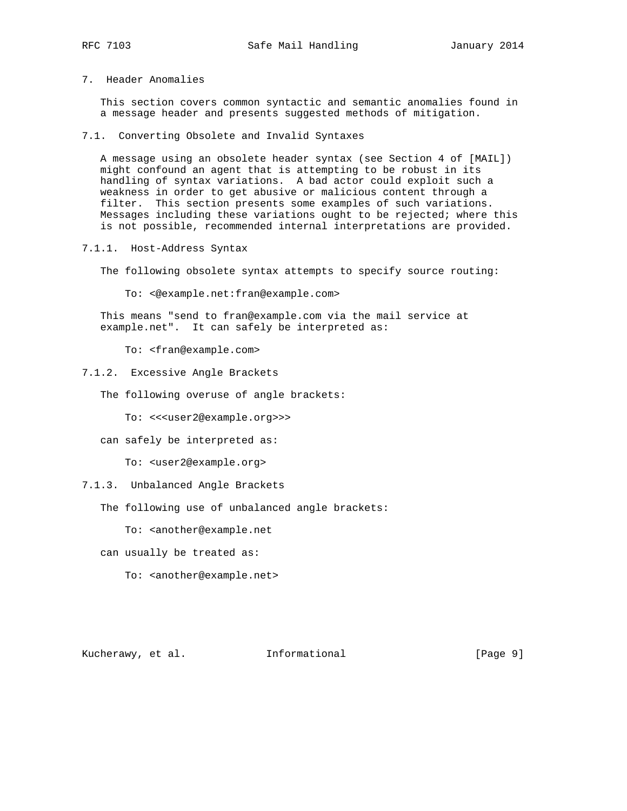7. Header Anomalies

 This section covers common syntactic and semantic anomalies found in a message header and presents suggested methods of mitigation.

7.1. Converting Obsolete and Invalid Syntaxes

 A message using an obsolete header syntax (see Section 4 of [MAIL]) might confound an agent that is attempting to be robust in its handling of syntax variations. A bad actor could exploit such a weakness in order to get abusive or malicious content through a filter. This section presents some examples of such variations. Messages including these variations ought to be rejected; where this is not possible, recommended internal interpretations are provided.

7.1.1. Host-Address Syntax

The following obsolete syntax attempts to specify source routing:

To: <@example.net:fran@example.com>

 This means "send to fran@example.com via the mail service at example.net". It can safely be interpreted as:

To: <fran@example.com>

- 7.1.2. Excessive Angle Brackets
	- The following overuse of angle brackets:

To: <<<user2@example.org>>>

can safely be interpreted as:

To: <user2@example.org>

### 7.1.3. Unbalanced Angle Brackets

The following use of unbalanced angle brackets:

To: <another@example.net

can usually be treated as:

To: <another@example.net>

Kucherawy, et al. Informational [Page 9]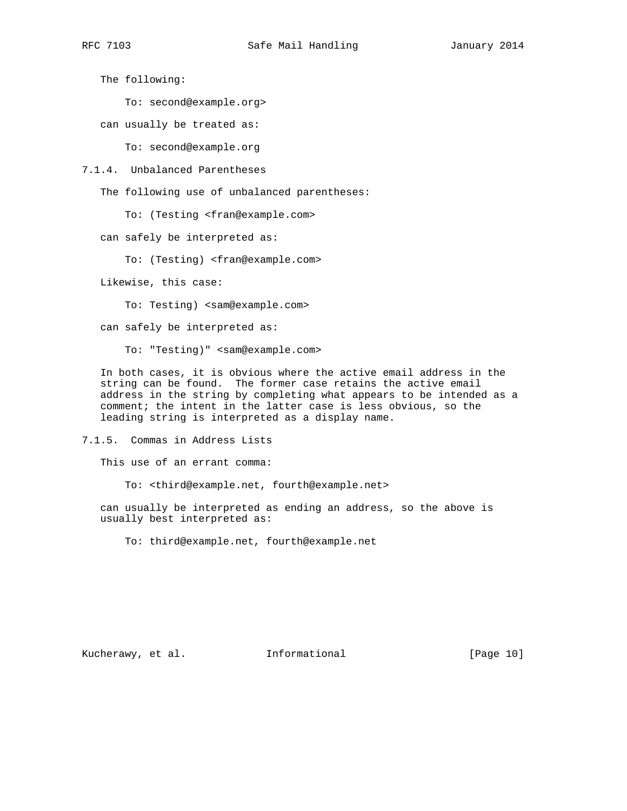The following:

To: second@example.org>

can usually be treated as:

To: second@example.org

7.1.4. Unbalanced Parentheses

The following use of unbalanced parentheses:

To: (Testing <fran@example.com>

can safely be interpreted as:

To: (Testing) <fran@example.com>

Likewise, this case:

To: Testing) <sam@example.com>

can safely be interpreted as:

To: "Testing)" <sam@example.com>

 In both cases, it is obvious where the active email address in the string can be found. The former case retains the active email address in the string by completing what appears to be intended as a comment; the intent in the latter case is less obvious, so the leading string is interpreted as a display name.

7.1.5. Commas in Address Lists

This use of an errant comma:

To: <third@example.net, fourth@example.net>

 can usually be interpreted as ending an address, so the above is usually best interpreted as:

To: third@example.net, fourth@example.net

Kucherawy, et al. 1nformational [Page 10]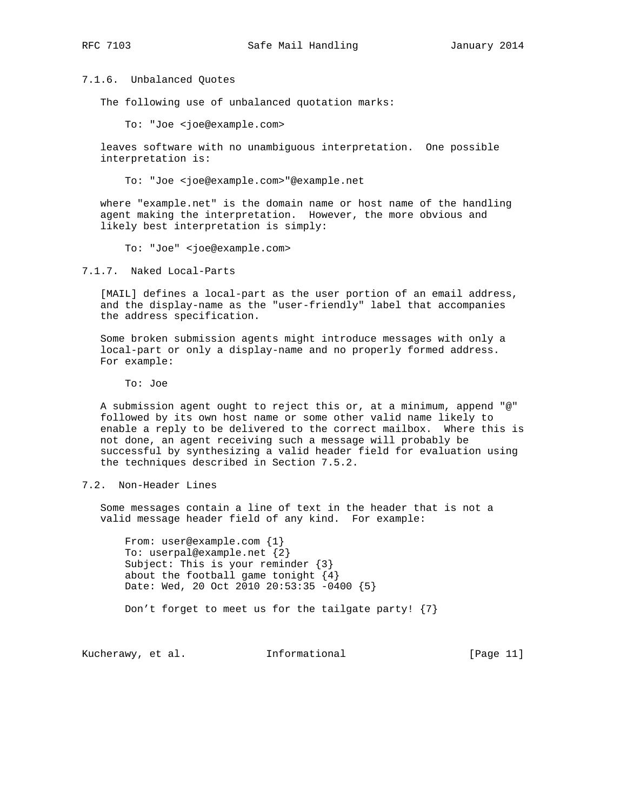7.1.6. Unbalanced Quotes

The following use of unbalanced quotation marks:

To: "Joe <joe@example.com>

 leaves software with no unambiguous interpretation. One possible interpretation is:

To: "Joe <joe@example.com>"@example.net

 where "example.net" is the domain name or host name of the handling agent making the interpretation. However, the more obvious and likely best interpretation is simply:

To: "Joe" <joe@example.com>

7.1.7. Naked Local-Parts

 [MAIL] defines a local-part as the user portion of an email address, and the display-name as the "user-friendly" label that accompanies the address specification.

 Some broken submission agents might introduce messages with only a local-part or only a display-name and no properly formed address. For example:

To: Joe

 A submission agent ought to reject this or, at a minimum, append "@" followed by its own host name or some other valid name likely to enable a reply to be delivered to the correct mailbox. Where this is not done, an agent receiving such a message will probably be successful by synthesizing a valid header field for evaluation using the techniques described in Section 7.5.2.

7.2. Non-Header Lines

 Some messages contain a line of text in the header that is not a valid message header field of any kind. For example:

 From: user@example.com {1} To: userpal@example.net {2} Subject: This is your reminder {3} about the football game tonight  $\{4\}$  Date: Wed, 20 Oct 2010 20:53:35 -0400 {5} Don't forget to meet us for the tailgate party! {7}

Kucherawy, et al. Informational [Page 11]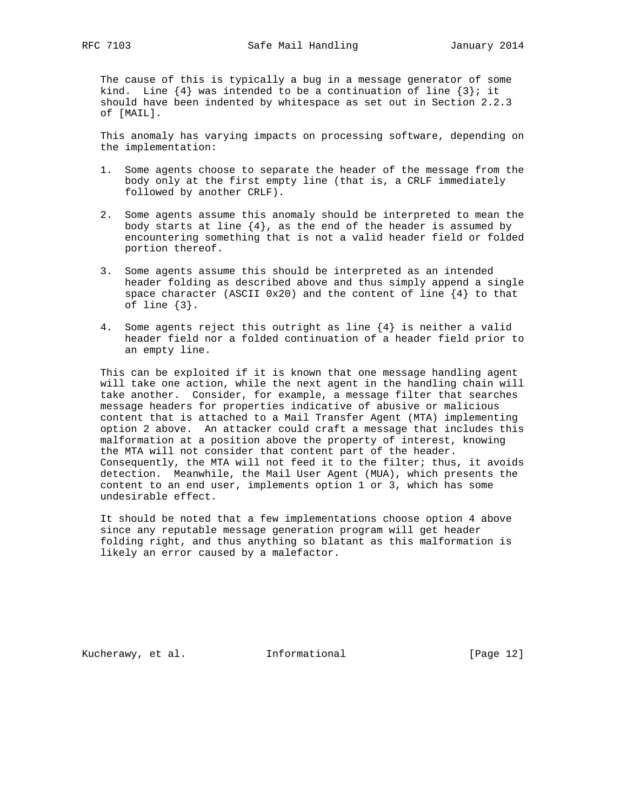The cause of this is typically a bug in a message generator of some kind. Line  $\{4\}$  was intended to be a continuation of line  $\{3\}$ ; it should have been indented by whitespace as set out in Section 2.2.3 of [MAIL].

 This anomaly has varying impacts on processing software, depending on the implementation:

- 1. Some agents choose to separate the header of the message from the body only at the first empty line (that is, a CRLF immediately followed by another CRLF).
- 2. Some agents assume this anomaly should be interpreted to mean the body starts at line  $\{4\}$ , as the end of the header is assumed by encountering something that is not a valid header field or folded portion thereof.
- 3. Some agents assume this should be interpreted as an intended header folding as described above and thus simply append a single space character (ASCII 0x20) and the content of line  $\{4\}$  to that of line {3}.
- 4. Some agents reject this outright as line {4} is neither a valid header field nor a folded continuation of a header field prior to an empty line.

 This can be exploited if it is known that one message handling agent will take one action, while the next agent in the handling chain will take another. Consider, for example, a message filter that searches message headers for properties indicative of abusive or malicious content that is attached to a Mail Transfer Agent (MTA) implementing option 2 above. An attacker could craft a message that includes this malformation at a position above the property of interest, knowing the MTA will not consider that content part of the header. Consequently, the MTA will not feed it to the filter; thus, it avoids detection. Meanwhile, the Mail User Agent (MUA), which presents the content to an end user, implements option 1 or 3, which has some undesirable effect.

 It should be noted that a few implementations choose option 4 above since any reputable message generation program will get header folding right, and thus anything so blatant as this malformation is likely an error caused by a malefactor.

Kucherawy, et al. 1nformational [Page 12]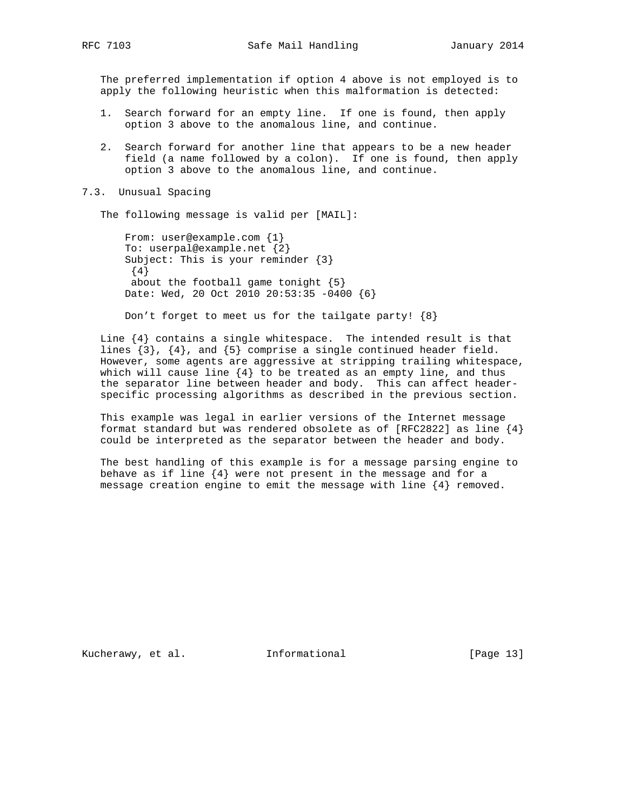The preferred implementation if option 4 above is not employed is to apply the following heuristic when this malformation is detected:

- 1. Search forward for an empty line. If one is found, then apply option 3 above to the anomalous line, and continue.
- 2. Search forward for another line that appears to be a new header field (a name followed by a colon). If one is found, then apply option 3 above to the anomalous line, and continue.

#### 7.3. Unusual Spacing

The following message is valid per [MAIL]:

 From: user@example.com {1} To: userpal@example.net {2} Subject: This is your reminder {3} {4} about the football game tonight {5} Date: Wed, 20 Oct 2010 20:53:35 -0400 {6}

Don't forget to meet us for the tailgate party! {8}

Line  $\{4\}$  contains a single whitespace. The intended result is that lines  $\{3\}$ ,  $\{4\}$ , and  $\{5\}$  comprise a single continued header field. However, some agents are aggressive at stripping trailing whitespace, which will cause line  ${4}$  to be treated as an empty line, and thus the separator line between header and body. This can affect header specific processing algorithms as described in the previous section.

 This example was legal in earlier versions of the Internet message format standard but was rendered obsolete as of [RFC2822] as line  $\{4\}$ could be interpreted as the separator between the header and body.

 The best handling of this example is for a message parsing engine to behave as if line  ${4}$  were not present in the message and for a message creation engine to emit the message with line {4} removed.

Kucherawy, et al. 1nformational [Page 13]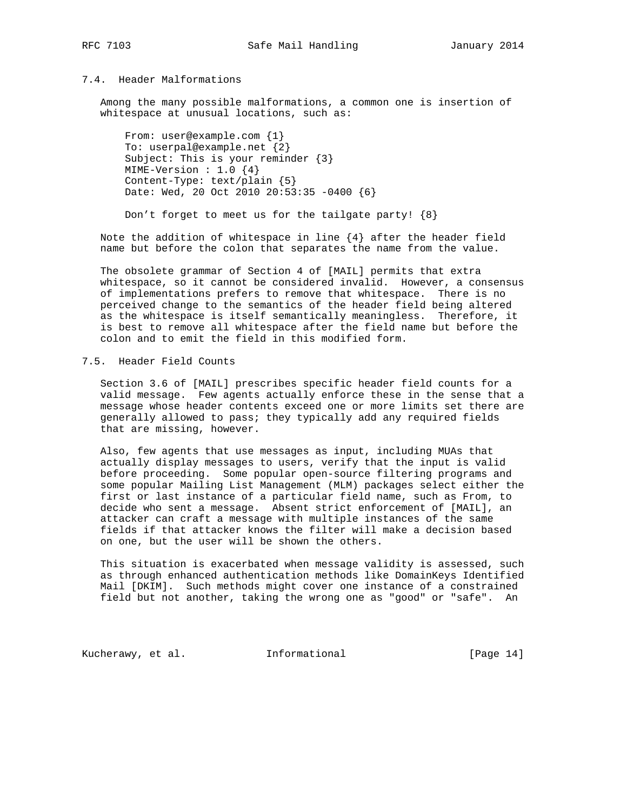# 7.4. Header Malformations

 Among the many possible malformations, a common one is insertion of whitespace at unusual locations, such as:

 From: user@example.com {1} To: userpal@example.net {2} Subject: This is your reminder {3} MIME-Version : 1.0 {4} Content-Type: text/plain {5} Date: Wed, 20 Oct 2010 20:53:35 -0400 {6}

Don't forget to meet us for the tailgate party! {8}

Note the addition of whitespace in line  $\{4\}$  after the header field name but before the colon that separates the name from the value.

 The obsolete grammar of Section 4 of [MAIL] permits that extra whitespace, so it cannot be considered invalid. However, a consensus of implementations prefers to remove that whitespace. There is no perceived change to the semantics of the header field being altered as the whitespace is itself semantically meaningless. Therefore, it is best to remove all whitespace after the field name but before the colon and to emit the field in this modified form.

# 7.5. Header Field Counts

 Section 3.6 of [MAIL] prescribes specific header field counts for a valid message. Few agents actually enforce these in the sense that a message whose header contents exceed one or more limits set there are generally allowed to pass; they typically add any required fields that are missing, however.

 Also, few agents that use messages as input, including MUAs that actually display messages to users, verify that the input is valid before proceeding. Some popular open-source filtering programs and some popular Mailing List Management (MLM) packages select either the first or last instance of a particular field name, such as From, to decide who sent a message. Absent strict enforcement of [MAIL], an attacker can craft a message with multiple instances of the same fields if that attacker knows the filter will make a decision based on one, but the user will be shown the others.

 This situation is exacerbated when message validity is assessed, such as through enhanced authentication methods like DomainKeys Identified Mail [DKIM]. Such methods might cover one instance of a constrained field but not another, taking the wrong one as "good" or "safe". An

Kucherawy, et al. 1nformational [Page 14]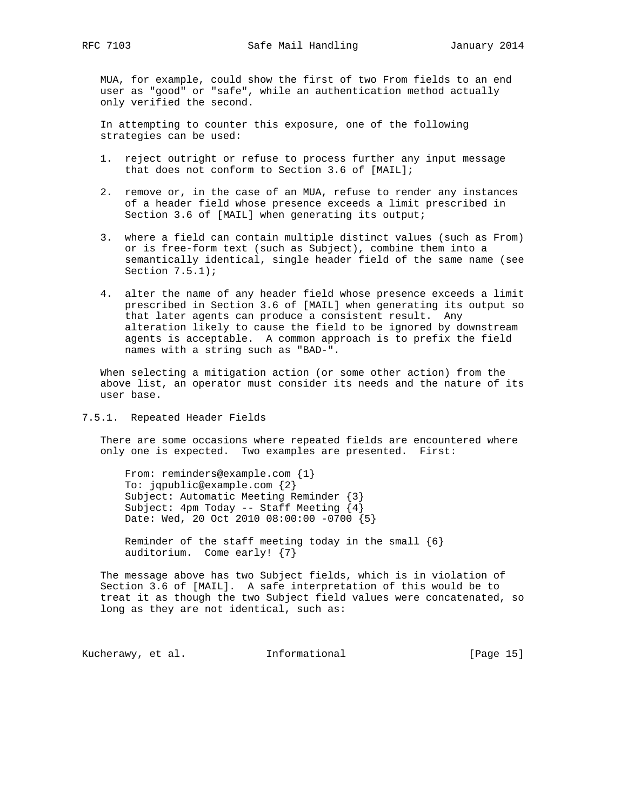MUA, for example, could show the first of two From fields to an end user as "good" or "safe", while an authentication method actually only verified the second.

 In attempting to counter this exposure, one of the following strategies can be used:

- 1. reject outright or refuse to process further any input message that does not conform to Section 3.6 of [MAIL];
- 2. remove or, in the case of an MUA, refuse to render any instances of a header field whose presence exceeds a limit prescribed in Section 3.6 of [MAIL] when generating its output;
- 3. where a field can contain multiple distinct values (such as From) or is free-form text (such as Subject), combine them into a semantically identical, single header field of the same name (see Section 7.5.1);
- 4. alter the name of any header field whose presence exceeds a limit prescribed in Section 3.6 of [MAIL] when generating its output so that later agents can produce a consistent result. Any alteration likely to cause the field to be ignored by downstream agents is acceptable. A common approach is to prefix the field names with a string such as "BAD-".

 When selecting a mitigation action (or some other action) from the above list, an operator must consider its needs and the nature of its user base.

7.5.1. Repeated Header Fields

 There are some occasions where repeated fields are encountered where only one is expected. Two examples are presented. First:

From: reminders@example.com {1} To: jqpublic@example.com {2} Subject: Automatic Meeting Reminder {3} Subject:  $4pm$  Today -- Staff Meeting  $\{4\}$ Date: Wed, 20 Oct 2010 08:00:00 -0700 {5}

Reminder of the staff meeting today in the small  $\{6\}$ auditorium. Come early! {7}

 The message above has two Subject fields, which is in violation of Section 3.6 of [MAIL]. A safe interpretation of this would be to treat it as though the two Subject field values were concatenated, so long as they are not identical, such as:

Kucherawy, et al. 1nformational [Page 15]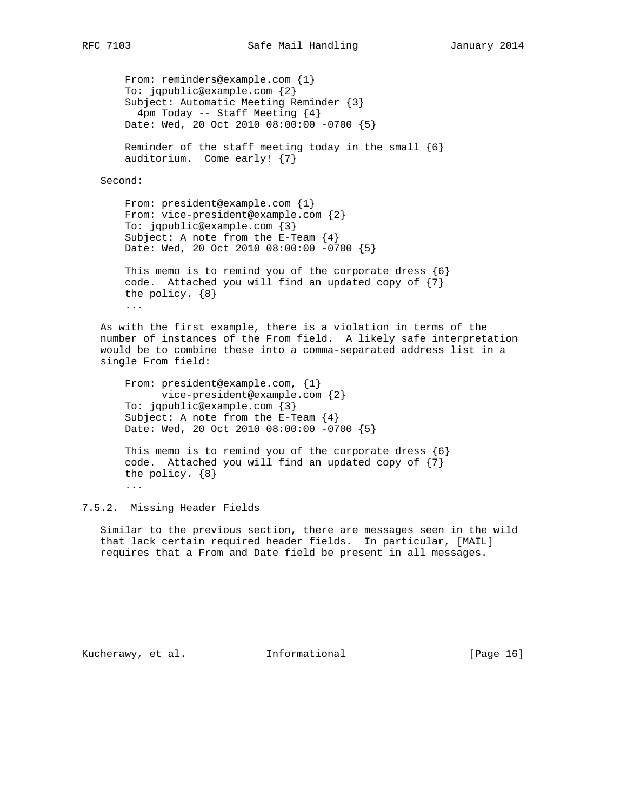```
From: reminders@example.com {1}
 To: jqpublic@example.com {2}
 Subject: Automatic Meeting Reminder {3}
   4pm Today -- Staff Meeting {4}
 Date: Wed, 20 Oct 2010 08:00:00 -0700 {5}
Reminder of the staff meeting today in the small \{6\} auditorium. Come early! {7}
```
Second:

```
 From: president@example.com {1}
 From: vice-president@example.com {2}
 To: jqpublic@example.com {3}
 Subject: A note from the E-Team {4}
 Date: Wed, 20 Oct 2010 08:00:00 -0700 {5}
```

```
This memo is to remind you of the corporate dress \{6\} code. Attached you will find an updated copy of {7}
 the policy. {8}
 ...
```
 As with the first example, there is a violation in terms of the number of instances of the From field. A likely safe interpretation would be to combine these into a comma-separated address list in a single From field:

```
 From: president@example.com, {1}
       vice-president@example.com {2}
 To: jqpublic@example.com {3}
 Subject: A note from the E-Team {4}
 Date: Wed, 20 Oct 2010 08:00:00 -0700 {5}
```

```
This memo is to remind you of the corporate dress \{6\} code. Attached you will find an updated copy of {7}
 the policy. {8}
 ...
```
7.5.2. Missing Header Fields

 Similar to the previous section, there are messages seen in the wild that lack certain required header fields. In particular, [MAIL] requires that a From and Date field be present in all messages.

Kucherawy, et al. Informational [Page 16]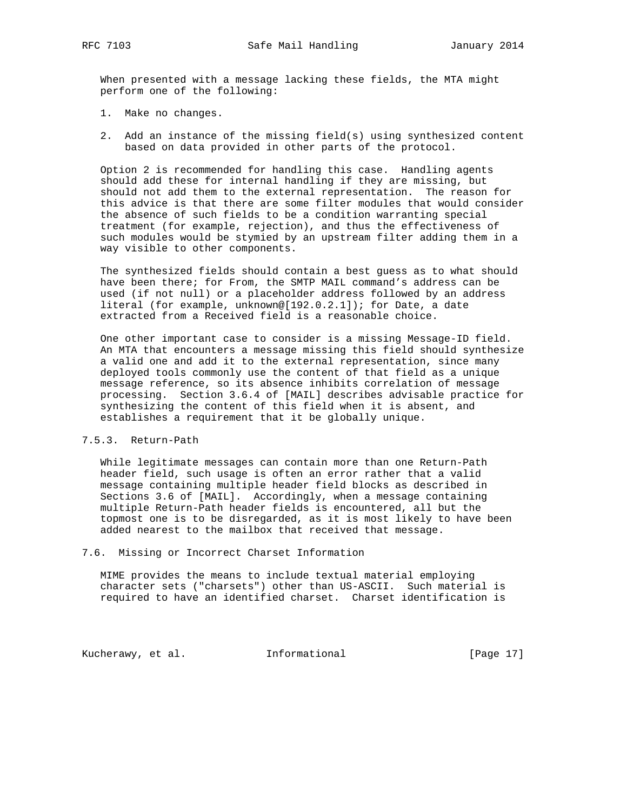When presented with a message lacking these fields, the MTA might perform one of the following:

- 1. Make no changes.
- 2. Add an instance of the missing field(s) using synthesized content based on data provided in other parts of the protocol.

 Option 2 is recommended for handling this case. Handling agents should add these for internal handling if they are missing, but should not add them to the external representation. The reason for this advice is that there are some filter modules that would consider the absence of such fields to be a condition warranting special treatment (for example, rejection), and thus the effectiveness of such modules would be stymied by an upstream filter adding them in a way visible to other components.

 The synthesized fields should contain a best guess as to what should have been there; for From, the SMTP MAIL command's address can be used (if not null) or a placeholder address followed by an address literal (for example, unknown@[192.0.2.1]); for Date, a date extracted from a Received field is a reasonable choice.

 One other important case to consider is a missing Message-ID field. An MTA that encounters a message missing this field should synthesize a valid one and add it to the external representation, since many deployed tools commonly use the content of that field as a unique message reference, so its absence inhibits correlation of message processing. Section 3.6.4 of [MAIL] describes advisable practice for synthesizing the content of this field when it is absent, and establishes a requirement that it be globally unique.

# 7.5.3. Return-Path

 While legitimate messages can contain more than one Return-Path header field, such usage is often an error rather that a valid message containing multiple header field blocks as described in Sections 3.6 of [MAIL]. Accordingly, when a message containing multiple Return-Path header fields is encountered, all but the topmost one is to be disregarded, as it is most likely to have been added nearest to the mailbox that received that message.

#### 7.6. Missing or Incorrect Charset Information

 MIME provides the means to include textual material employing character sets ("charsets") other than US-ASCII. Such material is required to have an identified charset. Charset identification is

Kucherawy, et al. 1nformational [Page 17]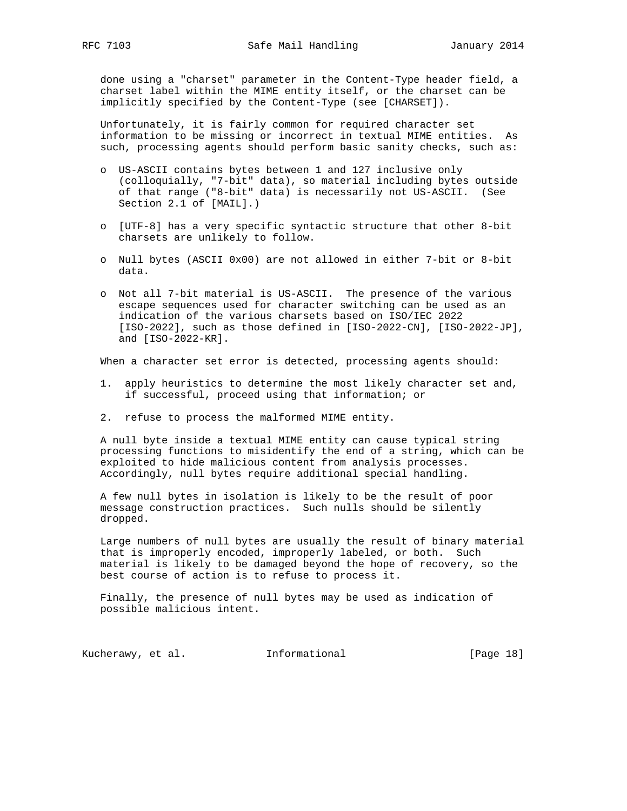done using a "charset" parameter in the Content-Type header field, a charset label within the MIME entity itself, or the charset can be implicitly specified by the Content-Type (see [CHARSET]).

 Unfortunately, it is fairly common for required character set information to be missing or incorrect in textual MIME entities. As such, processing agents should perform basic sanity checks, such as:

- o US-ASCII contains bytes between 1 and 127 inclusive only (colloquially, "7-bit" data), so material including bytes outside of that range ("8-bit" data) is necessarily not US-ASCII. (See Section 2.1 of [MAIL].)
- o [UTF-8] has a very specific syntactic structure that other 8-bit charsets are unlikely to follow.
- o Null bytes (ASCII 0x00) are not allowed in either 7-bit or 8-bit data.
- o Not all 7-bit material is US-ASCII. The presence of the various escape sequences used for character switching can be used as an indication of the various charsets based on ISO/IEC 2022 [ISO-2022], such as those defined in [ISO-2022-CN], [ISO-2022-JP], and [ISO-2022-KR].

When a character set error is detected, processing agents should:

- 1. apply heuristics to determine the most likely character set and, if successful, proceed using that information; or
- 2. refuse to process the malformed MIME entity.

 A null byte inside a textual MIME entity can cause typical string processing functions to misidentify the end of a string, which can be exploited to hide malicious content from analysis processes. Accordingly, null bytes require additional special handling.

 A few null bytes in isolation is likely to be the result of poor message construction practices. Such nulls should be silently dropped.

 Large numbers of null bytes are usually the result of binary material that is improperly encoded, improperly labeled, or both. Such material is likely to be damaged beyond the hope of recovery, so the best course of action is to refuse to process it.

 Finally, the presence of null bytes may be used as indication of possible malicious intent.

Kucherawy, et al. 1nformational [Page 18]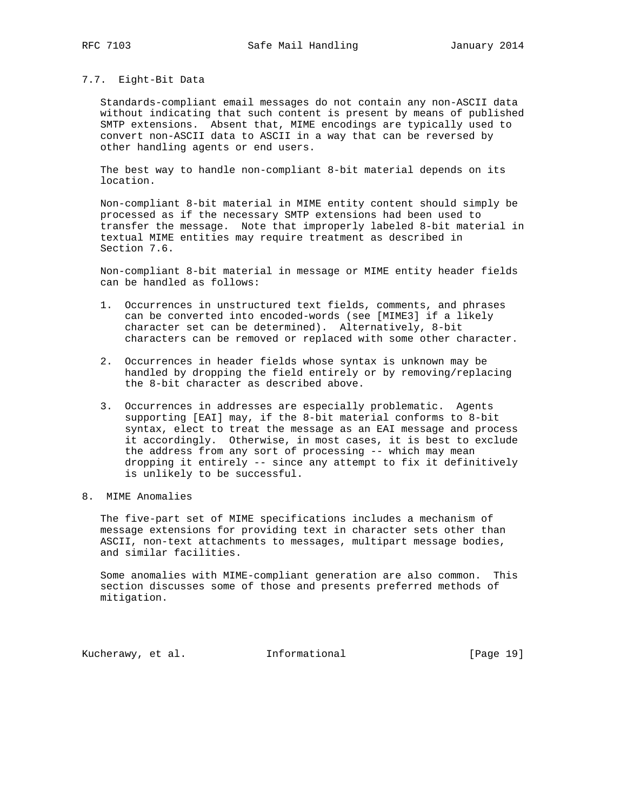### 7.7. Eight-Bit Data

 Standards-compliant email messages do not contain any non-ASCII data without indicating that such content is present by means of published SMTP extensions. Absent that, MIME encodings are typically used to convert non-ASCII data to ASCII in a way that can be reversed by other handling agents or end users.

 The best way to handle non-compliant 8-bit material depends on its location.

 Non-compliant 8-bit material in MIME entity content should simply be processed as if the necessary SMTP extensions had been used to transfer the message. Note that improperly labeled 8-bit material in textual MIME entities may require treatment as described in Section 7.6.

 Non-compliant 8-bit material in message or MIME entity header fields can be handled as follows:

- 1. Occurrences in unstructured text fields, comments, and phrases can be converted into encoded-words (see [MIME3] if a likely character set can be determined). Alternatively, 8-bit characters can be removed or replaced with some other character.
- 2. Occurrences in header fields whose syntax is unknown may be handled by dropping the field entirely or by removing/replacing the 8-bit character as described above.
- 3. Occurrences in addresses are especially problematic. Agents supporting [EAI] may, if the 8-bit material conforms to 8-bit syntax, elect to treat the message as an EAI message and process it accordingly. Otherwise, in most cases, it is best to exclude the address from any sort of processing -- which may mean dropping it entirely -- since any attempt to fix it definitively is unlikely to be successful.
- 8. MIME Anomalies

 The five-part set of MIME specifications includes a mechanism of message extensions for providing text in character sets other than ASCII, non-text attachments to messages, multipart message bodies, and similar facilities.

 Some anomalies with MIME-compliant generation are also common. This section discusses some of those and presents preferred methods of mitigation.

Kucherawy, et al. 1nformational [Page 19]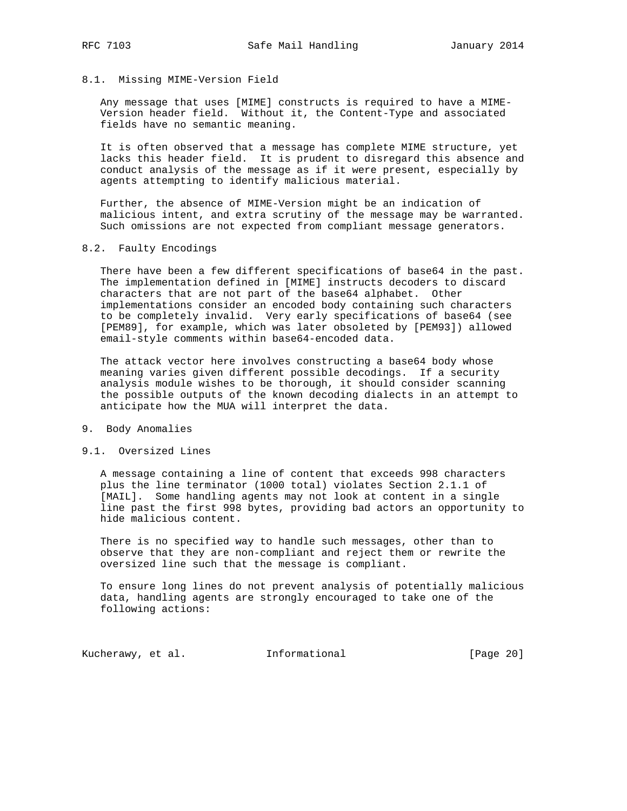### 8.1. Missing MIME-Version Field

 Any message that uses [MIME] constructs is required to have a MIME- Version header field. Without it, the Content-Type and associated fields have no semantic meaning.

 It is often observed that a message has complete MIME structure, yet lacks this header field. It is prudent to disregard this absence and conduct analysis of the message as if it were present, especially by agents attempting to identify malicious material.

 Further, the absence of MIME-Version might be an indication of malicious intent, and extra scrutiny of the message may be warranted. Such omissions are not expected from compliant message generators.

### 8.2. Faulty Encodings

 There have been a few different specifications of base64 in the past. The implementation defined in [MIME] instructs decoders to discard characters that are not part of the base64 alphabet. Other implementations consider an encoded body containing such characters to be completely invalid. Very early specifications of base64 (see [PEM89], for example, which was later obsoleted by [PEM93]) allowed email-style comments within base64-encoded data.

 The attack vector here involves constructing a base64 body whose meaning varies given different possible decodings. If a security analysis module wishes to be thorough, it should consider scanning the possible outputs of the known decoding dialects in an attempt to anticipate how the MUA will interpret the data.

#### 9. Body Anomalies

### 9.1. Oversized Lines

 A message containing a line of content that exceeds 998 characters plus the line terminator (1000 total) violates Section 2.1.1 of [MAIL]. Some handling agents may not look at content in a single line past the first 998 bytes, providing bad actors an opportunity to hide malicious content.

 There is no specified way to handle such messages, other than to observe that they are non-compliant and reject them or rewrite the oversized line such that the message is compliant.

 To ensure long lines do not prevent analysis of potentially malicious data, handling agents are strongly encouraged to take one of the following actions:

Kucherawy, et al. 1nformational [Page 20]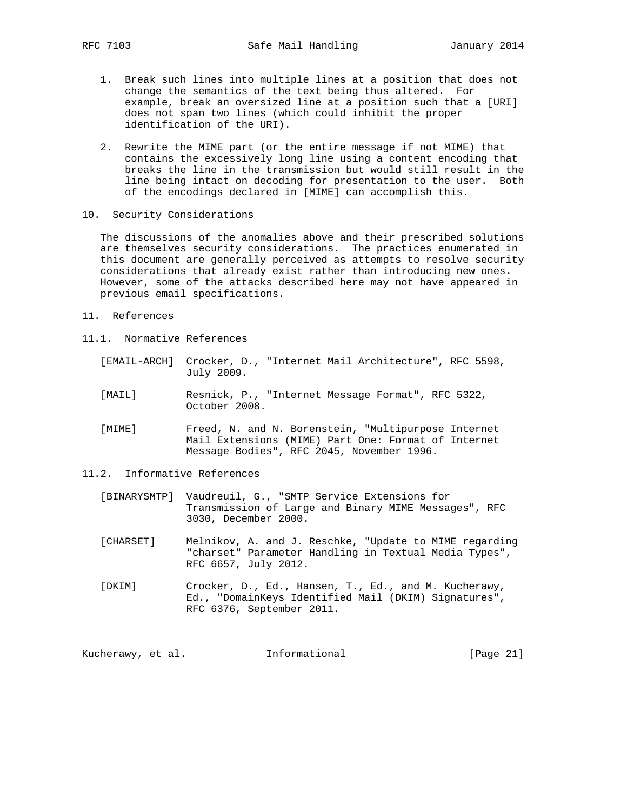- 1. Break such lines into multiple lines at a position that does not change the semantics of the text being thus altered. For example, break an oversized line at a position such that a [URI] does not span two lines (which could inhibit the proper identification of the URI).
- 2. Rewrite the MIME part (or the entire message if not MIME) that contains the excessively long line using a content encoding that breaks the line in the transmission but would still result in the line being intact on decoding for presentation to the user. Both of the encodings declared in [MIME] can accomplish this.
- 10. Security Considerations

 The discussions of the anomalies above and their prescribed solutions are themselves security considerations. The practices enumerated in this document are generally perceived as attempts to resolve security considerations that already exist rather than introducing new ones. However, some of the attacks described here may not have appeared in previous email specifications.

- 11. References
- 11.1. Normative References
	- [EMAIL-ARCH] Crocker, D., "Internet Mail Architecture", RFC 5598, July 2009.
	- [MAIL] Resnick, P., "Internet Message Format", RFC 5322, October 2008.
	- [MIME] Freed, N. and N. Borenstein, "Multipurpose Internet Mail Extensions (MIME) Part One: Format of Internet Message Bodies", RFC 2045, November 1996.
- 11.2. Informative References
	- [BINARYSMTP] Vaudreuil, G., "SMTP Service Extensions for Transmission of Large and Binary MIME Messages", RFC 3030, December 2000.
	- [CHARSET] Melnikov, A. and J. Reschke, "Update to MIME regarding "charset" Parameter Handling in Textual Media Types", RFC 6657, July 2012.
	- [DKIM] Crocker, D., Ed., Hansen, T., Ed., and M. Kucherawy, Ed., "DomainKeys Identified Mail (DKIM) Signatures", RFC 6376, September 2011.

Kucherawy, et al. 1nformational [Page 21]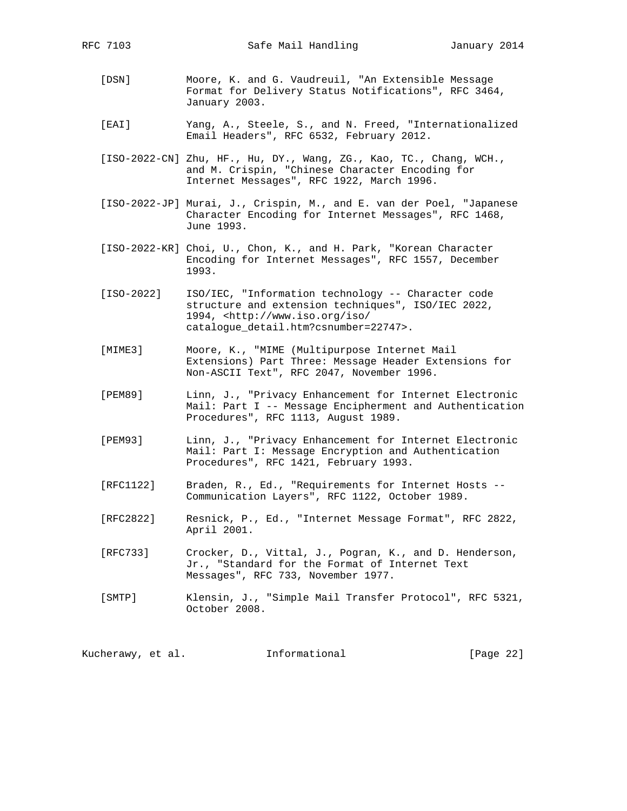- [DSN] Moore, K. and G. Vaudreuil, "An Extensible Message Format for Delivery Status Notifications", RFC 3464, January 2003.
- [EAI] Yang, A., Steele, S., and N. Freed, "Internationalized Email Headers", RFC 6532, February 2012.
- [ISO-2022-CN] Zhu, HF., Hu, DY., Wang, ZG., Kao, TC., Chang, WCH., and M. Crispin, "Chinese Character Encoding for Internet Messages", RFC 1922, March 1996.
- [ISO-2022-JP] Murai, J., Crispin, M., and E. van der Poel, "Japanese Character Encoding for Internet Messages", RFC 1468, June 1993.
- [ISO-2022-KR] Choi, U., Chon, K., and H. Park, "Korean Character Encoding for Internet Messages", RFC 1557, December 1993.
- [ISO-2022] ISO/IEC, "Information technology -- Character code structure and extension techniques", ISO/IEC 2022, 1994, <http://www.iso.org/iso/ catalogue\_detail.htm?csnumber=22747>.
- [MIME3] Moore, K., "MIME (Multipurpose Internet Mail Extensions) Part Three: Message Header Extensions for Non-ASCII Text", RFC 2047, November 1996.
- [PEM89] Linn, J., "Privacy Enhancement for Internet Electronic Mail: Part I -- Message Encipherment and Authentication Procedures", RFC 1113, August 1989.
- [PEM93] Linn, J., "Privacy Enhancement for Internet Electronic Mail: Part I: Message Encryption and Authentication Procedures", RFC 1421, February 1993.
- [RFC1122] Braden, R., Ed., "Requirements for Internet Hosts -- Communication Layers", RFC 1122, October 1989.
- [RFC2822] Resnick, P., Ed., "Internet Message Format", RFC 2822, April 2001.
- [RFC733] Crocker, D., Vittal, J., Pogran, K., and D. Henderson, Jr., "Standard for the Format of Internet Text Messages", RFC 733, November 1977.
- [SMTP] Klensin, J., "Simple Mail Transfer Protocol", RFC 5321, October 2008.

Kucherawy, et al. Informational [Page 22]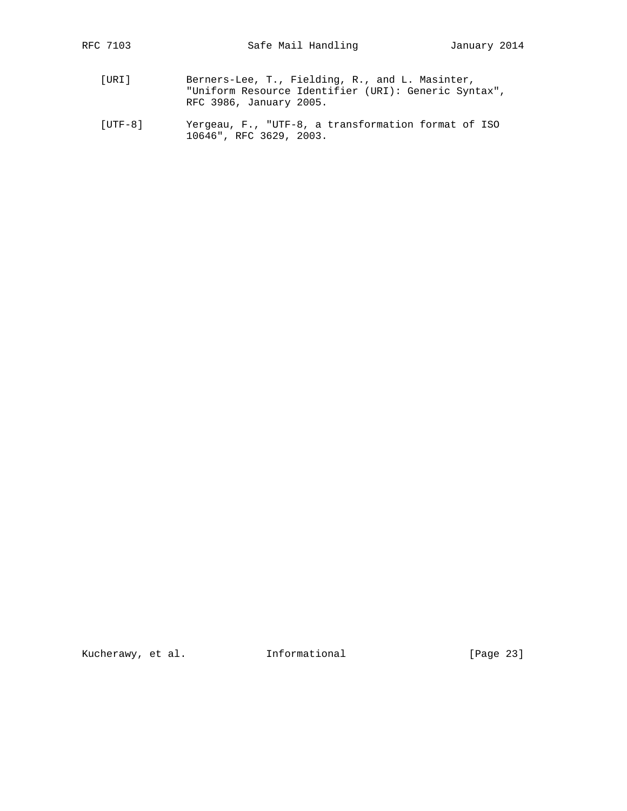- [URI] Berners-Lee, T., Fielding, R., and L. Masinter, "Uniform Resource Identifier (URI): Generic Syntax", RFC 3986, January 2005.
- [UTF-8] Yergeau, F., "UTF-8, a transformation format of ISO 10646", RFC 3629, 2003.

Kucherawy, et al. 1nformational [Page 23]